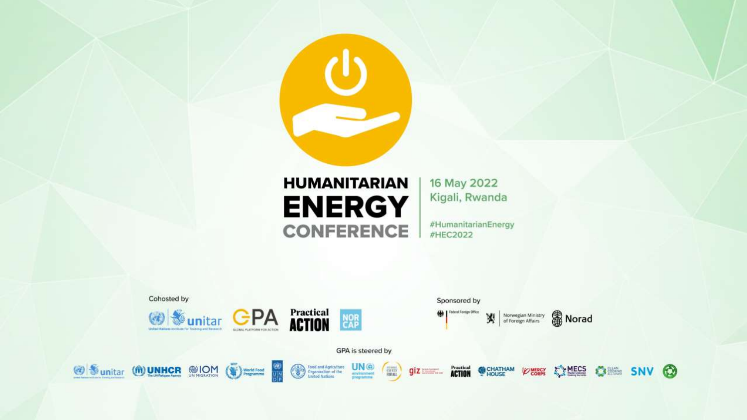

#### **HUMANITARIAN ENERGY CONFERENCE**

16 May 2022 Kigali, Rwanda

#HumanitarianEnergy #HEC2022

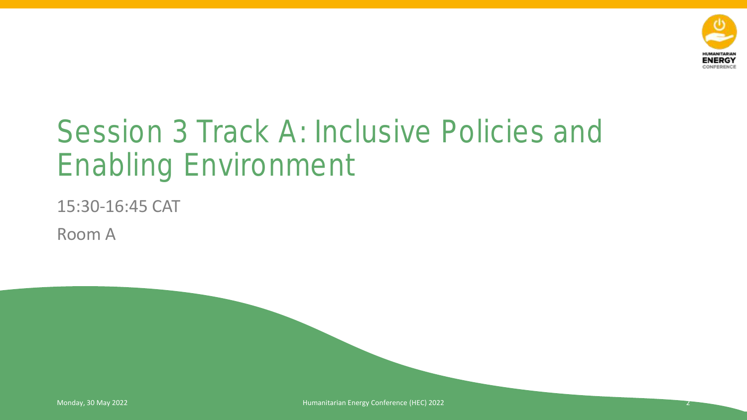

# Session 3 Track A: Inclusive Policies and Enabling Environment

15:30-16:45 CAT

Room A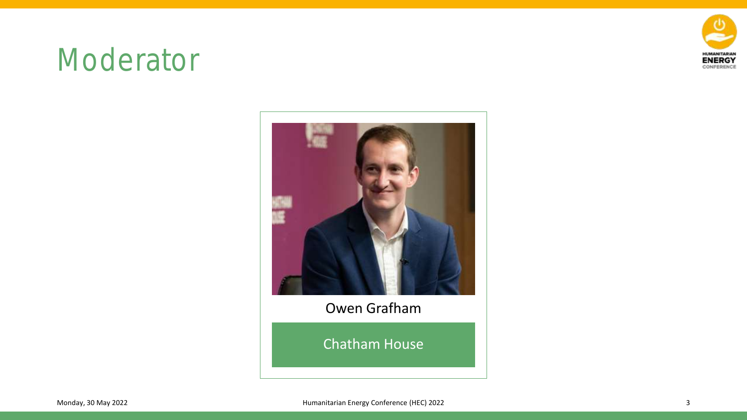

### Moderator



#### Owen Grafham

Chatham House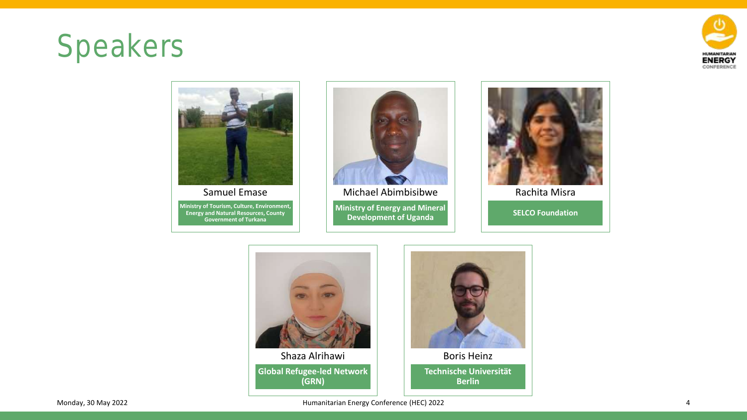# Speakers





**Energy and Natural Resources, County Government of Turkana** 



**Ministry of Energy and Mineral Development of Uganda**  Michael Abimbisibwe



Rachita Misra

**SELCO Foundation** 





**Technische Universität Berlin** 

Monday, 30 May 2022 **Accord 2012 2012 12:33 Monday**, 30 May 2022 4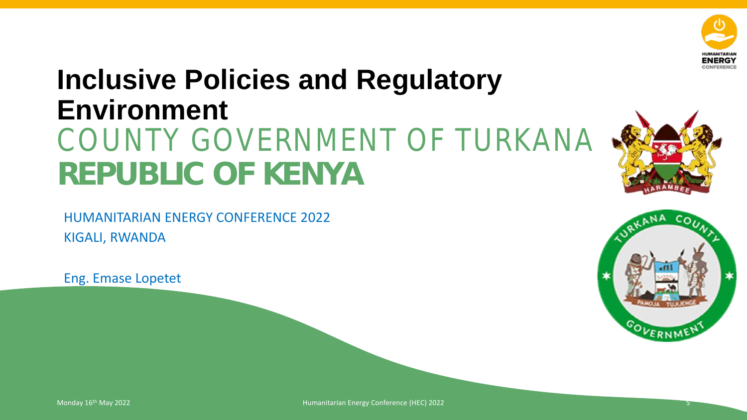

### **Inclusive Policies and Regulatory Environment**  COUNTY GOVERNMENT OF TURKANA **REPUBLIC OF KENYA**

HUMANITARIAN ENERGY CONFERENCE 2022 KIGALI, RWANDA

Eng. Emase Lopetet



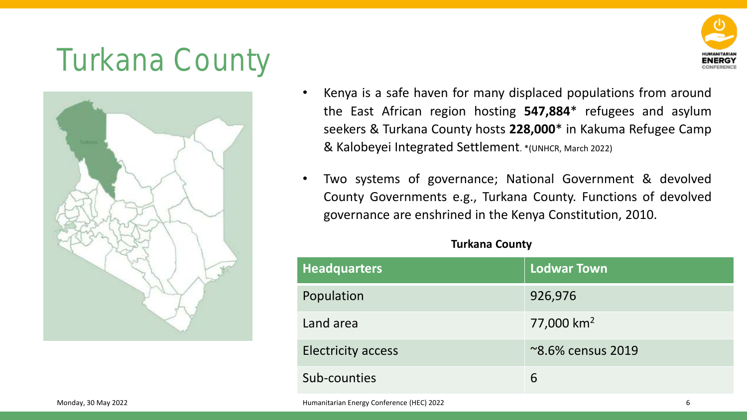# Turkana County





- Kenya is a safe haven for many displaced populations from around the East African region hosting **547,884**\* refugees and asylum seekers & Turkana County hosts **228,000**\* in Kakuma Refugee Camp & Kalobeyei Integrated Settlement. \*(UNHCR, March 2022)
- Two systems of governance; National Government & devolved County Governments e.g., Turkana County. Functions of devolved governance are enshrined in the Kenya Constitution, 2010.

#### **Turkana County**

|                     | <b>Headquarters</b>                       | Lodwar Town            |
|---------------------|-------------------------------------------|------------------------|
|                     | Population                                | 926,976                |
|                     | Land area                                 | 77,000 km <sup>2</sup> |
|                     | <b>Electricity access</b>                 | ~8.6% census 2019      |
|                     | Sub-counties                              | 6                      |
| Monday, 30 May 2022 | Humanitarian Energy Conference (HEC) 2022 | b                      |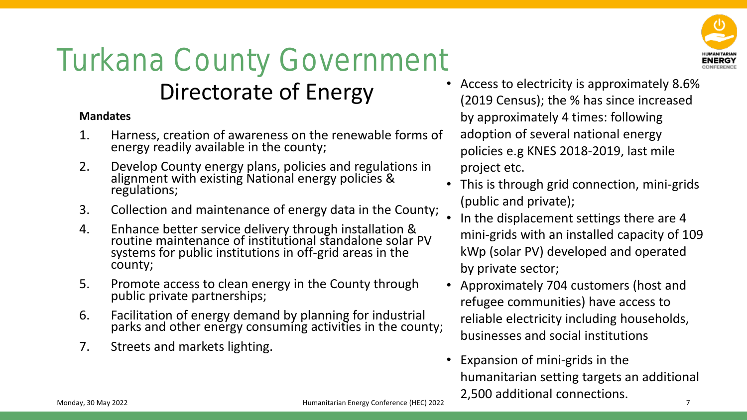# Turkana County Government

### Directorate of Energy

#### **Mandates**

- 1. Harness, creation of awareness on the renewable forms of energy readily available in the county;
- 2. Develop County energy plans, policies and regulations in alignment with existing National energy policies & regulations;
- 3. Collection and maintenance of energy data in the County;
- 4. Enhance better service delivery through installation & routine maintenance of institutional standalone solar PV systems for public institutions in off-grid areas in the county;
- 5. Promote access to clean energy in the County through public private partnerships;
- 6. Facilitation of energy demand by planning for industrial parks and other energy consuming activities in the county;
- 7. Streets and markets lighting.



- Access to electricity is approximately 8.6% (2019 Census); the % has since increased by approximately 4 times: following adoption of several national energy policies e.g KNES 2018-2019, last mile project etc.
- This is through grid connection, mini-grids (public and private);
- In the displacement settings there are 4 mini-grids with an installed capacity of 109 kWp (solar PV) developed and operated by private sector;
- Approximately 704 customers (host and refugee communities) have access to reliable electricity including households, businesses and social institutions
- Expansion of mini-grids in the humanitarian setting targets an additional 2,500 additional connections.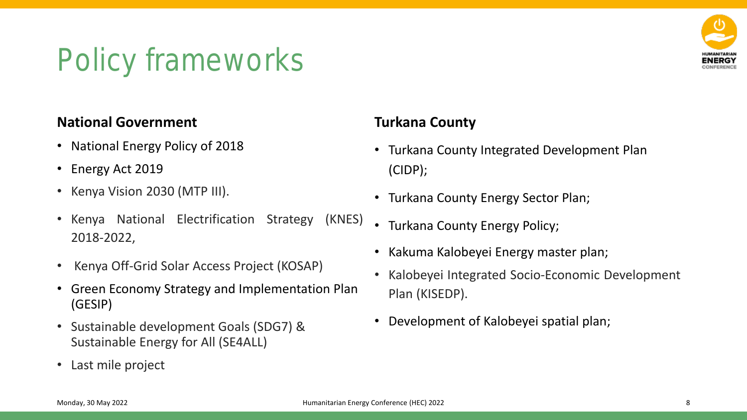# Policy frameworks



#### **National Government**

- National Energy Policy of 2018
- Energy Act 2019
- Kenya Vision 2030 (MTP III).
- Kenya National Electrification Strategy (KNES) 2018-2022,
- Kenya Off-Grid Solar Access Project (KOSAP)
- Green Economy Strategy and Implementation Plan (GESIP)
- Sustainable development Goals (SDG7) & Sustainable Energy for All (SE4ALL)
- Last mile project

#### **Turkana County**

- Turkana County Integrated Development Plan (CIDP);
- Turkana County Energy Sector Plan;
- Turkana County Energy Policy;
- Kakuma Kalobeyei Energy master plan;
- Kalobeyei Integrated Socio-Economic Development Plan (KISEDP).
- Development of Kalobeyei spatial plan;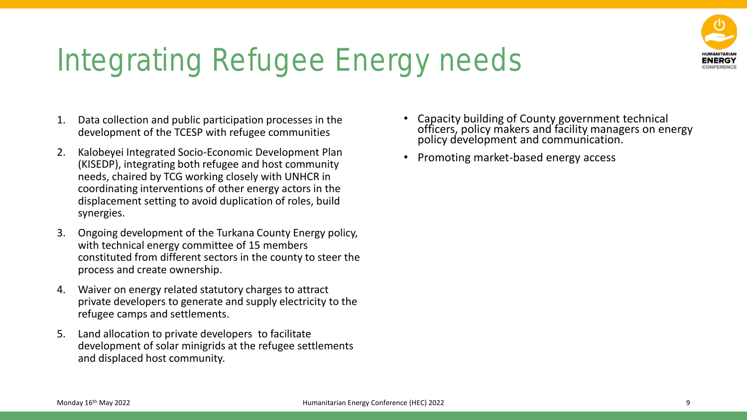

# Integrating Refugee Energy needs

- 1. Data collection and public participation processes in the development of the TCESP with refugee communities
- 2. Kalobeyei Integrated Socio-Economic Development Plan (KISEDP), integrating both refugee and host community needs, chaired by TCG working closely with UNHCR in coordinating interventions of other energy actors in the displacement setting to avoid duplication of roles, build synergies.
- 3. Ongoing development of the Turkana County Energy policy, with technical energy committee of 15 members constituted from different sectors in the county to steer the process and create ownership.
- 4. Waiver on energy related statutory charges to attract private developers to generate and supply electricity to the refugee camps and settlements.
- 5. Land allocation to private developers to facilitate development of solar minigrids at the refugee settlements and displaced host community.
- Capacity building of County government technical officers, policy makers and facility managers on energy policy development and communication.
- Promoting market-based energy access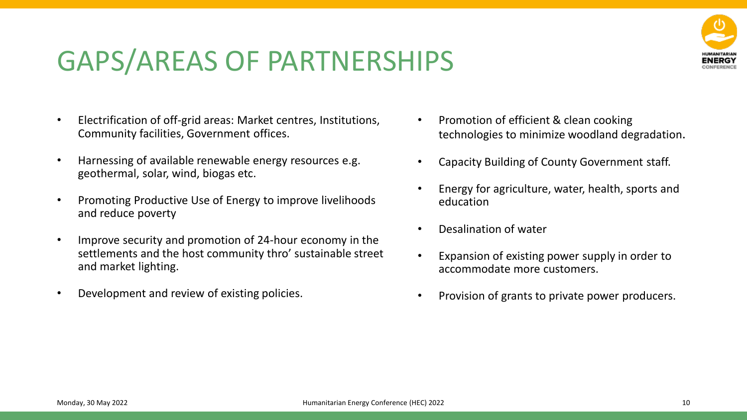### GAPS/AREAS OF PARTNERSHIPS

- Electrification of off-grid areas: Market centres, Institutions, Community facilities, Government offices.
- Harnessing of available renewable energy resources e.g. geothermal, solar, wind, biogas etc.
- Promoting Productive Use of Energy to improve livelihoods and reduce poverty
- Improve security and promotion of 24-hour economy in the settlements and the host community thro' sustainable street and market lighting.
- Development and review of existing policies.
- Promotion of efficient & clean cooking technologies to minimize woodland degradation.
- Capacity Building of County Government staff.
- Energy for agriculture, water, health, sports and education
- Desalination of water
- Expansion of existing power supply in order to accommodate more customers.
- Provision of grants to private power producers.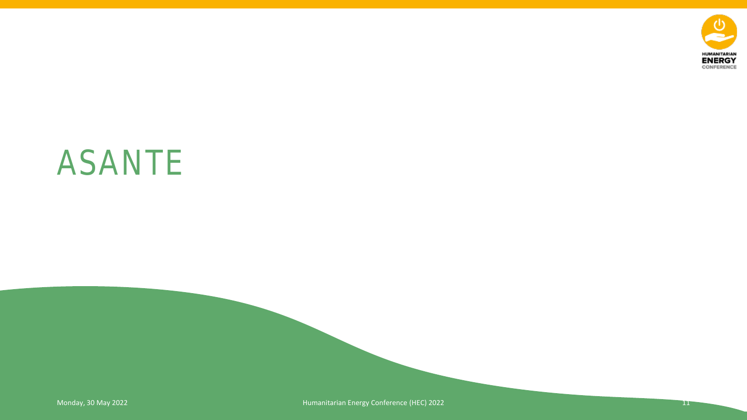

# ASANTE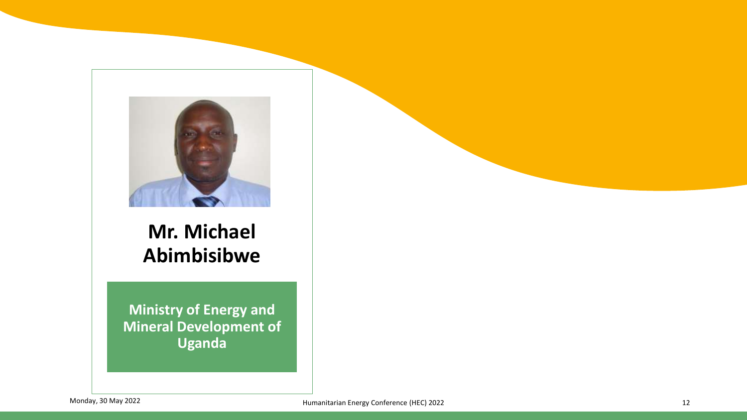

### **Mr. Michael Abimbisibwe**

**Ministry of Energy and Mineral Development of Uganda**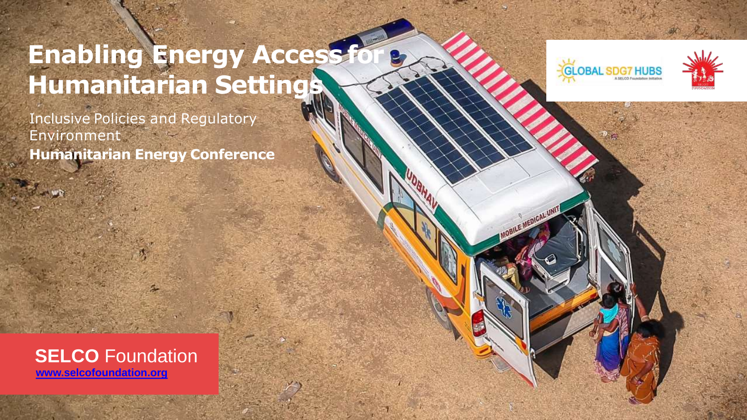### **Enabling Energy Access f Humanitarian Settings**

Inclusive Policies and Regulatory Environment **Humanitarian Energy Conference**







 $-20$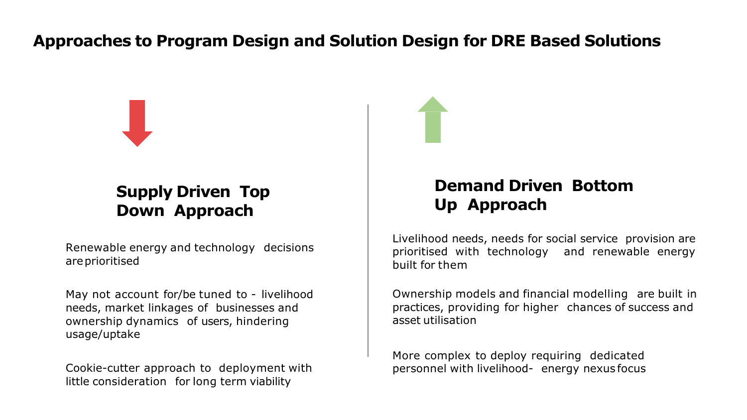#### **Approaches to Program Design and Solution Design for DRE Based Solutions**



#### **Supply Driven Top Down Approach**

Renewable energy and technology decisions areprioritised

May not account for/be tuned to - livelihood needs, market linkages of businesses and ownership dynamics of users, hindering usage/uptake

Cookie-cutter approach to deployment with little consideration for long term viability

#### **Demand Driven Bottom Up Approach**

Livelihood needs, needs for social service provision are prioritised with technology and renewable energy built for them

Ownership models and financial modelling are built in practices, providing for higher chances of success and asset utilisation

More complex to deploy requiring dedicated personnel with livelihood- energy nexus focus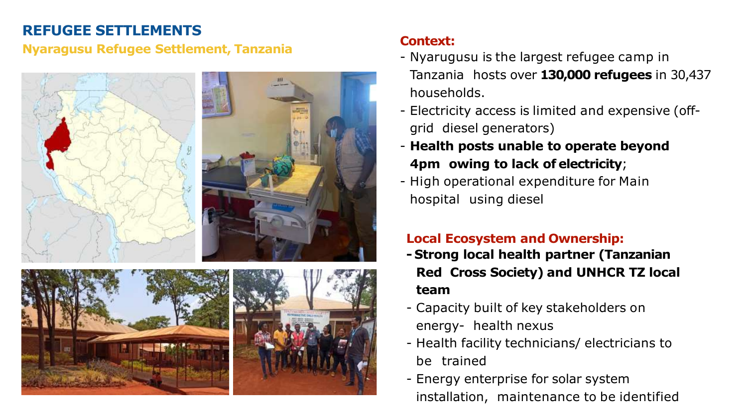#### **REFUGEE SETTLEMENTS**

#### **Nyaragusu Refugee Settlement, Tanzania**



#### **Context:**

- Nyarugusu is the largest refugee camp in Tanzania hosts over **130,000 refugees** in 30,437 households.
- Electricity access is limited and expensive (offgrid diesel generators)
- **Health posts unable to operate beyond 4pm owing to lack of electricity**;
- High operational expenditure for Main hospital using diesel

#### **Local Ecosystem and Ownership:**

- **- Strong local health partner (Tanzanian Red Cross Society) and UNHCR TZ local team**
- Capacity built of key stakeholders on energy- health nexus
- Health facility technicians/ electricians to be trained
- Energy enterprise for solar system installation, maintenance to be identified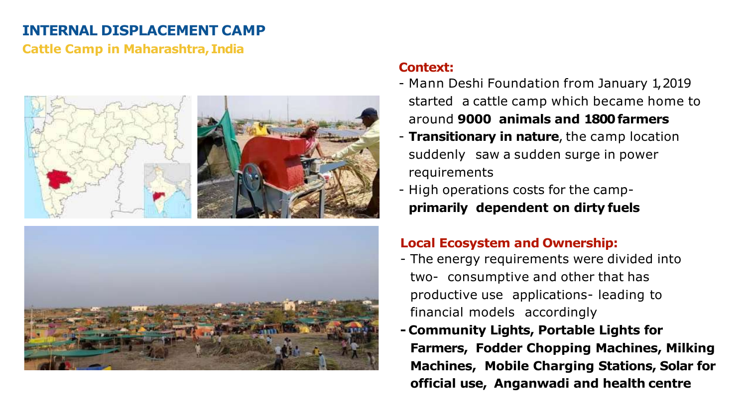#### **INTERNAL DISPLACEMENT CAMP**

#### **Cattle Camp in Maharashtra,India**





#### **Context:**

- Mann Deshi Foundation from January 1,2019 started a cattle camp which became home to around **9000 animals and 1800farmers**
- **Transitionary in nature**, the camp location suddenly saw a sudden surge in power requirements
- High operations costs for the camp**primarily dependent on dirty fuels**

#### **Local Ecosystem and Ownership:**

- The energy requirements were divided into two- consumptive and other that has productive use applications- leading to financial models accordingly
- **- Community Lights, Portable Lights for Farmers, Fodder Chopping Machines, Milking Machines, Mobile Charging Stations, Solar for official use, Anganwadi and health centre**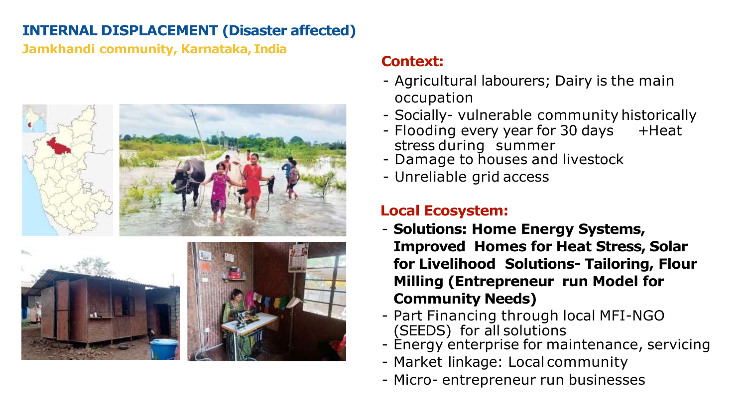#### **INTERNAL DISPLACEMENT (Disaster affected)**

**Jamkhandi community, Karnataka, India**







#### **Context:**

- Agricultural labourers; Dairy is the main occupation
- Socially- vulnerable community historically
- Flooding every year for 30 days + Heat stress during summer
- Damage to houses and livestock
- Unreliable grid access

#### **Local Ecosystem:**

- **Solutions: Home Energy Systems, Improved Homes for Heat Stress, Solar for Livelihood Solutions- Tailoring, Flour Milling (Entrepreneur run Model for Community Needs)**
- Part Financing through local MFI-NGO (SEEDS) for all solutions
- Energy enterprise for maintenance, servicing
- Market linkage: Local community
- Micro- entrepreneur run businesses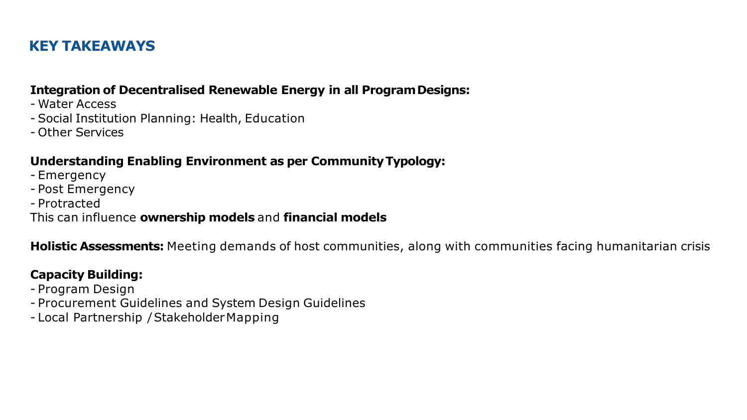#### **KEY TAKEAWAYS**

#### **Integration of Decentralised Renewable Energy in all ProgramDesigns:**

- Water Access
- Social Institution Planning: Health, Education
- Other Services

#### **Understanding Enabling Environment as per CommunityTypology:**

- Emergency
- Post Emergency
- Protracted

This can influence **ownership models** and **financial models**

**Holistic Assessments:** Meeting demands of host communities, along with communities facing humanitarian crisis

#### **Capacity Building:**

- Program Design
- Procurement Guidelines and System Design Guidelines
- Local Partnership / StakeholderMapping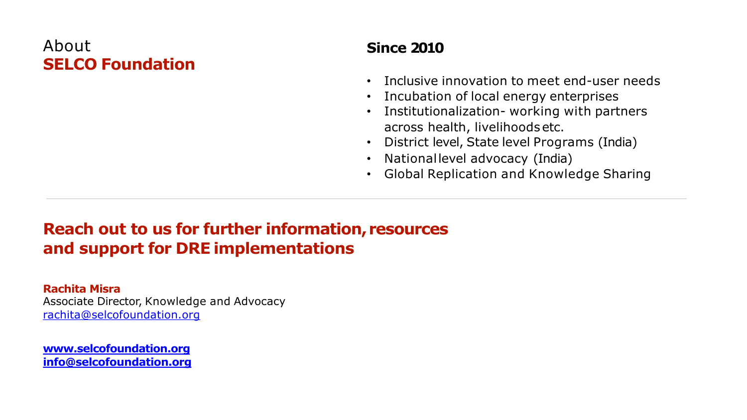#### About **SELCO Foundation**

#### **Since 2010**

- Inclusive innovation to meet end-user needs
- Incubation of local energy enterprises
- Institutionalization- working with partners across health, livelihoodsetc.
- District level, State level Programs (India)
- Nationallevel advocacy (India)
- Global Replication and Knowledge Sharing

#### **Reach out to us for further information, resources and support for DRE implementations**

**Rachita Misra** Associate Director, Knowledge and Advocacy [rachita@selcofoundation.org](mailto:rachita@selcofoundation.org)

**[www.selcofoundation.org](http://www.selcofoundation.org/) [info@selcofoundation.org](mailto:info@selcofoundation.org)**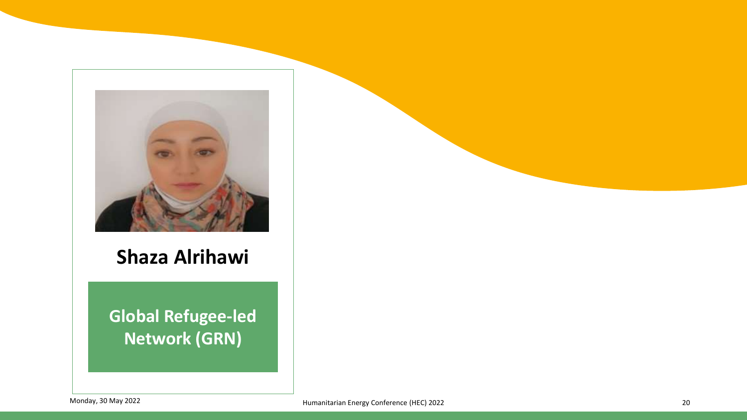

#### **Shaza Alrihawi**

**Global Refugee-led Network (GRN)**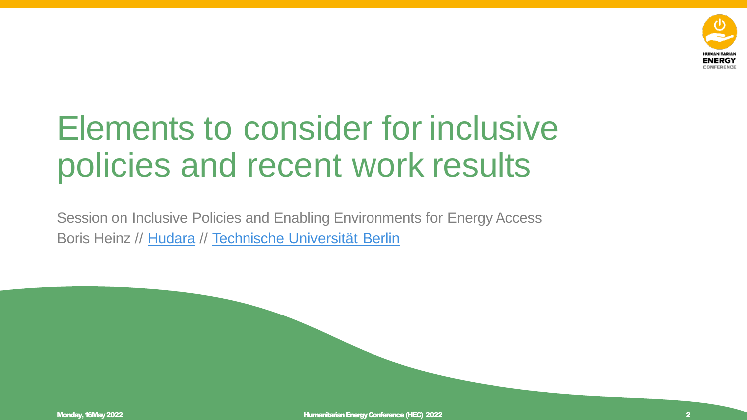

# Elements to consider for inclusive policies and recent work results

Session on Inclusive Policies and Enabling Environments for Energy Access Boris Heinz // Hudara // Technische Universität Berlin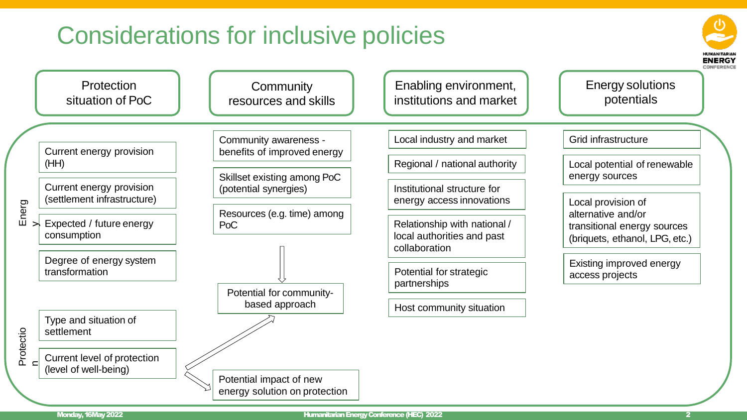### Considerations for inclusive policies



(HH)

En erg

Protectio n

 $\Join$ 

energy solution on protection

**ENERGY** CONFERENCI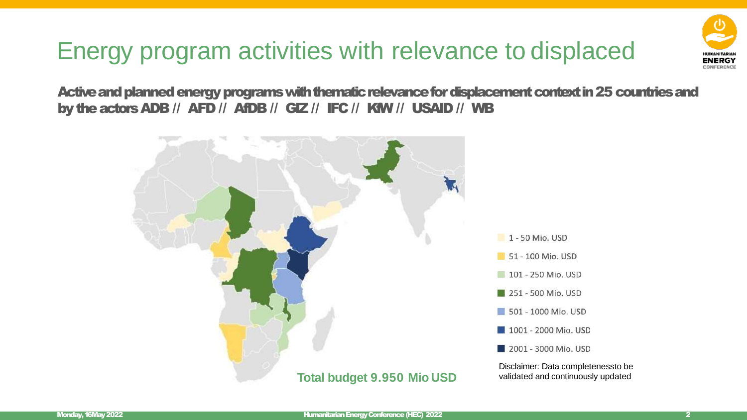### Energy program activities with relevance to displaced

CONFERENCI

Active and planned energy programs with thematic relevance for displacement context in 25 countries and by the actors ADB // AFD // AfDB // GIZ // IFC // KfW // USAID // WB

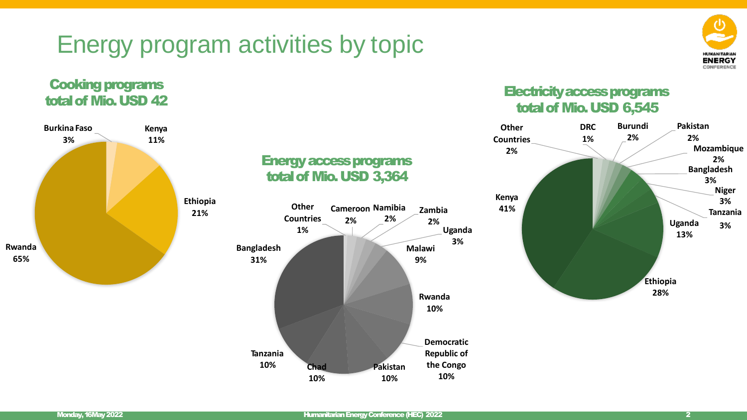### Energy program activities by topic



#### Cooking programs total of Mio. USD 42



#### Energy access programs total of Mio. USD 3,364



#### Electricity access programs total of Mio. USD 6,545

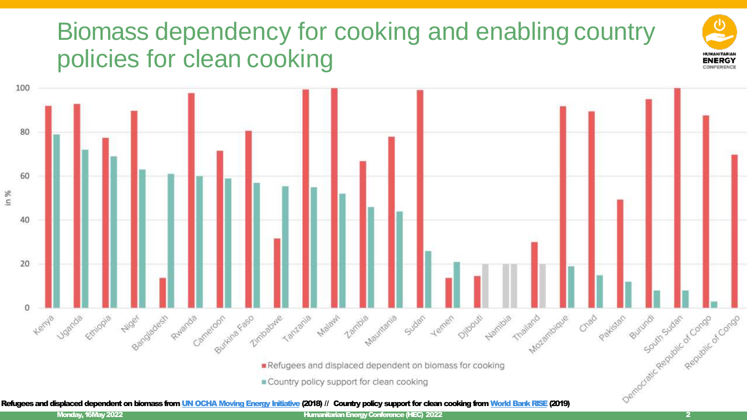### Biomass dependency for cooking and enabling country policies for clean cooking



Refugees and displaced dependent on biomass from UN OCHA Moving Energy Initiative (2018) // Country policy support for clean cooking from World Bank RISE (2019)

LIMANITADIAN **ENERGY** CONFERENCE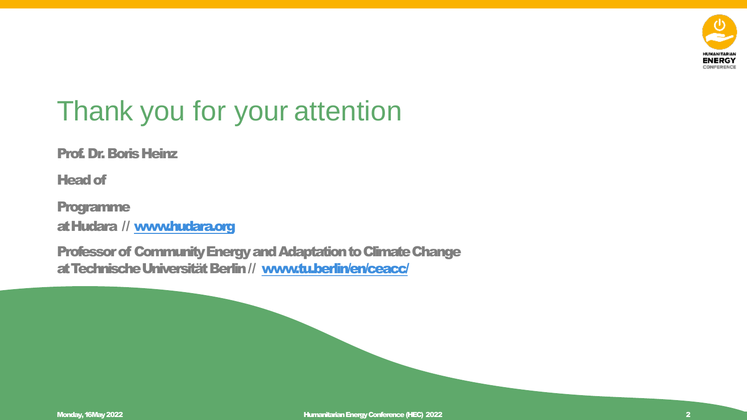

### Thank you for your attention

Prof. Dr. Boris Heinz

Head of

Programme

at Hudara // [www.hudara.org](http://www.hudara.org/)

Professor of Community Energy and Adaptation to Climate Change at Technische Universität Berlin // [www.tu.berlin/en/ceacc/](http://www.tu.berlin/en/ceacc/)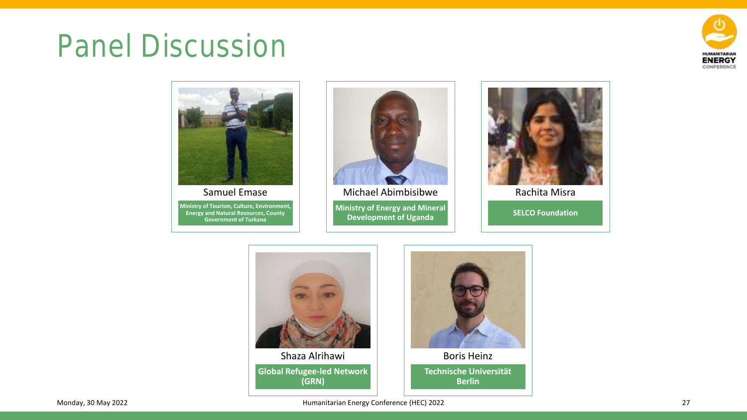# Panel Discussion





**Ministry of Tourism, Culture, Environment, Energy and Natural Resources, County Government of Turkana** 



**Ministry of Energy and Mineral Development of Uganda**  Michael Abimbisibwe



Rachita Misra

**SELCO Foundation** 





**Technische Universität Berlin**